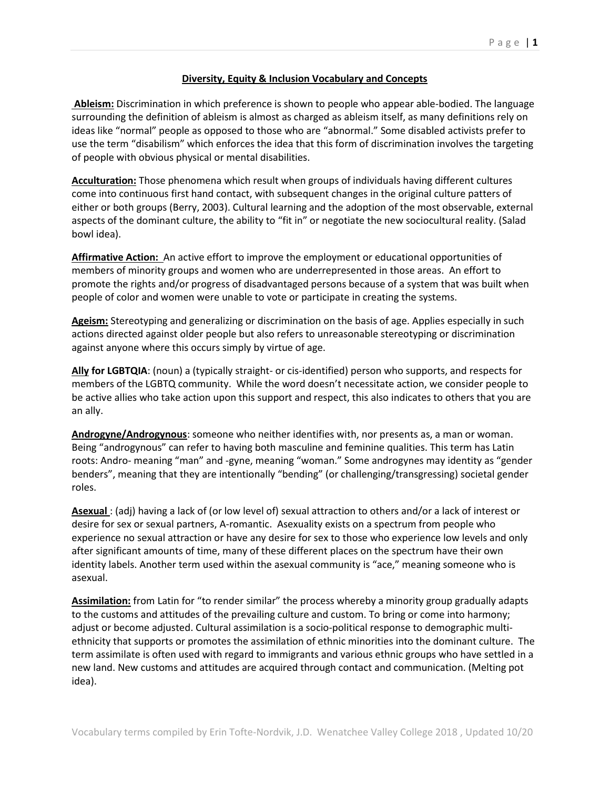## **Diversity, Equity & Inclusion Vocabulary and Concepts**

**Ableism:** Discrimination in which preference is shown to people who appear able-bodied. The language surrounding the definition of ableism is almost as charged as ableism itself, as many definitions rely on ideas like "normal" people as opposed to those who are "abnormal." Some disabled activists prefer to use the term "disabilism" which enforces the idea that this form of discrimination involves the targeting of people with obvious physical or mental disabilities.

**Acculturation:** Those phenomena which result when groups of individuals having different cultures come into continuous first hand contact, with subsequent changes in the original culture patters of either or both groups (Berry, 2003). Cultural learning and the adoption of the most observable, external aspects of the dominant culture, the ability to "fit in" or negotiate the new sociocultural reality. (Salad bowl idea).

**Affirmative Action:** An active effort to improve the employment or educational opportunities of members of minority groups and women who are underrepresented in those areas. An effort to promote the rights and/or progress of disadvantaged persons because of a system that was built when people of color and women were unable to vote or participate in creating the systems.

**Ageism:** Stereotyping and generalizing or discrimination on the basis of age. Applies especially in such actions directed against older people but also refers to unreasonable stereotyping or discrimination against anyone where this occurs simply by virtue of age.

**Ally for LGBTQIA**: (noun) a (typically straight- or cis-identified) person who supports, and respects for members of the LGBTQ community. While the word doesn't necessitate action, we consider people to be active allies who take action upon this support and respect, this also indicates to others that you are an ally.

**Androgyne/Androgynous**: someone who neither identifies with, nor presents as, a man or woman. Being "androgynous" can refer to having both masculine and feminine qualities. This term has Latin roots: Andro- meaning "man" and -gyne, meaning "woman." Some androgynes may identity as "gender benders", meaning that they are intentionally "bending" (or challenging/transgressing) societal gender roles.

**Asexual** : (adj) having a lack of (or low level of) sexual attraction to others and/or a lack of interest or desire for sex or sexual partners, A-romantic. Asexuality exists on a spectrum from people who experience no sexual attraction or have any desire for sex to those who experience low levels and only after significant amounts of time, many of these different places on the spectrum have their own identity labels. Another term used within the asexual community is "ace," meaning someone who is asexual.

**Assimilation:** from Latin for "to render similar" the process whereby a minority group gradually adapts to the customs and attitudes of the prevailing culture and custom. To bring or come into harmony; adjust or become adjusted. Cultural assimilation is a socio-political response to demographic multiethnicity that supports or promotes the assimilation of ethnic minorities into the dominant culture. The term assimilate is often used with regard to immigrants and various ethnic groups who have settled in a new land. New customs and attitudes are acquired through contact and communication. (Melting pot idea).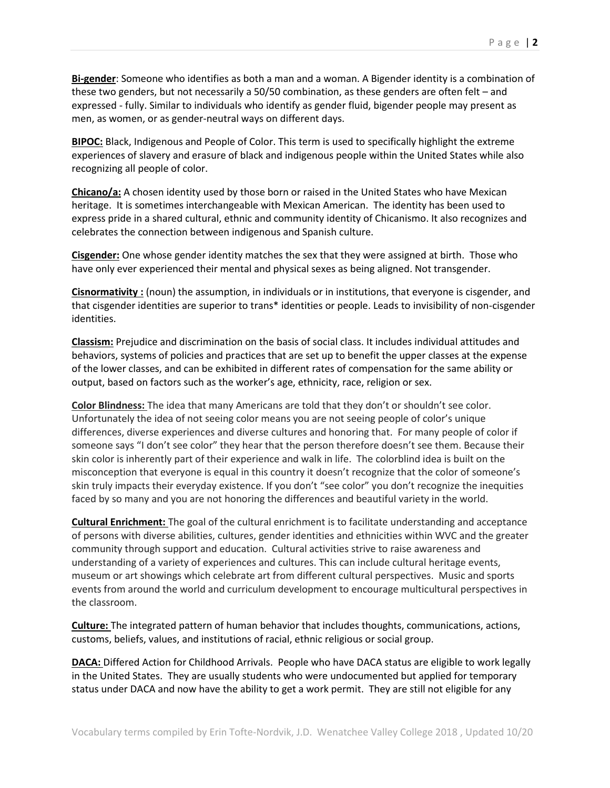**Bi-gender**: Someone who identifies as both a man and a woman. A Bigender identity is a combination of these two genders, but not necessarily a 50/50 combination, as these genders are often felt – and expressed - fully. Similar to individuals who identify as gender fluid, bigender people may present as men, as women, or as gender-neutral ways on different days.

**BIPOC:** Black, Indigenous and People of Color. This term is used to specifically highlight the extreme experiences of slavery and erasure of black and indigenous people within the United States while also recognizing all people of color.

**Chicano/a:** A chosen identity used by those born or raised in the United States who have Mexican heritage. It is sometimes interchangeable with Mexican American. The identity has been used to express pride in a shared cultural, ethnic and community identity of Chicanismo. It also recognizes and celebrates the connection between indigenous and Spanish culture.

**Cisgender:** One whose gender identity matches the sex that they were assigned at birth. Those who have only ever experienced their mental and physical sexes as being aligned. Not transgender.

**Cisnormativity :** (noun) the assumption, in individuals or in institutions, that everyone is cisgender, and that cisgender identities are superior to trans\* identities or people. Leads to invisibility of non-cisgender identities.

**Classism:** Prejudice and discrimination on the basis of social class. It includes individual attitudes and behaviors, systems of policies and practices that are set up to benefit the upper classes at the expense of the lower classes, and can be exhibited in different rates of compensation for the same ability or output, based on factors such as the worker's age, ethnicity, race, religion or sex.

**Color Blindness:** The idea that many Americans are told that they don't or shouldn't see color. Unfortunately the idea of not seeing color means you are not seeing people of color's unique differences, diverse experiences and diverse cultures and honoring that. For many people of color if someone says "I don't see color" they hear that the person therefore doesn't see them. Because their skin color is inherently part of their experience and walk in life. The colorblind idea is built on the misconception that everyone is equal in this country it doesn't recognize that the color of someone's skin truly impacts their everyday existence. If you don't "see color" you don't recognize the inequities faced by so many and you are not honoring the differences and beautiful variety in the world.

**Cultural Enrichment:** The goal of the cultural enrichment is to facilitate understanding and acceptance of persons with diverse abilities, cultures, gender identities and ethnicities within WVC and the greater community through support and education. Cultural activities strive to raise awareness and understanding of a variety of experiences and cultures. This can include cultural heritage events, museum or art showings which celebrate art from different cultural perspectives. Music and sports events from around the world and curriculum development to encourage multicultural perspectives in the classroom.

**Culture:** The integrated pattern of human behavior that includes thoughts, communications, actions, customs, beliefs, values, and institutions of racial, ethnic religious or social group.

**DACA:** Differed Action for Childhood Arrivals. People who have DACA status are eligible to work legally in the United States. They are usually students who were undocumented but applied for temporary status under DACA and now have the ability to get a work permit. They are still not eligible for any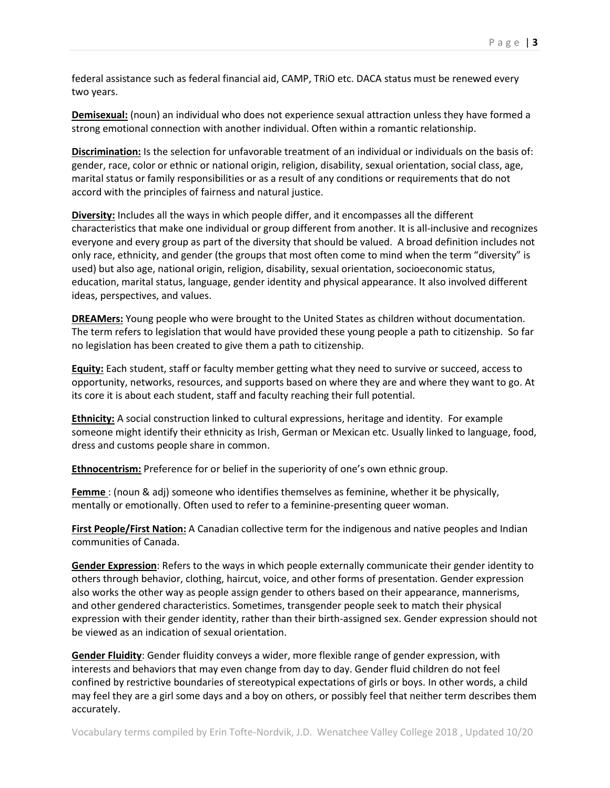federal assistance such as federal financial aid, CAMP, TRiO etc. DACA status must be renewed every two years.

**Demisexual:** (noun) an individual who does not experience sexual attraction unless they have formed a strong emotional connection with another individual. Often within a romantic relationship.

**Discrimination:** Is the selection for unfavorable treatment of an individual or individuals on the basis of: gender, race, color or ethnic or national origin, religion, disability, sexual orientation, social class, age, marital status or family responsibilities or as a result of any conditions or requirements that do not accord with the principles of fairness and natural justice.

**Diversity:** Includes all the ways in which people differ, and it encompasses all the different characteristics that make one individual or group different from another. It is all-inclusive and recognizes everyone and every group as part of the diversity that should be valued. A broad definition includes not only race, ethnicity, and gender (the groups that most often come to mind when the term "diversity" is used) but also age, national origin, religion, disability, sexual orientation, socioeconomic status, education, marital status, language, gender identity and physical appearance. It also involved different ideas, perspectives, and values.

**DREAMers:** Young people who were brought to the United States as children without documentation. The term refers to legislation that would have provided these young people a path to citizenship. So far no legislation has been created to give them a path to citizenship.

**Equity:** Each student, staff or faculty member getting what they need to survive or succeed, access to opportunity, networks, resources, and supports based on where they are and where they want to go. At its core it is about each student, staff and faculty reaching their full potential.

**Ethnicity:** A social construction linked to cultural expressions, heritage and identity. For example someone might identify their ethnicity as Irish, German or Mexican etc. Usually linked to language, food, dress and customs people share in common.

**Ethnocentrism:** Preference for or belief in the superiority of one's own ethnic group.

**Femme** : (noun & adj) someone who identifies themselves as feminine, whether it be physically, mentally or emotionally. Often used to refer to a feminine-presenting queer woman.

**First People/First Nation:** A Canadian collective term for the indigenous and native peoples and Indian communities of Canada.

**Gender Expression**: Refers to the ways in which people externally communicate their gender identity to others through behavior, clothing, haircut, voice, and other forms of presentation. Gender expression also works the other way as people assign gender to others based on their appearance, mannerisms, and other gendered characteristics. Sometimes, transgender people seek to match their physical expression with their gender identity, rather than their birth-assigned sex. Gender expression should not be viewed as an indication of sexual orientation.

**Gender Fluidity**: Gender fluidity conveys a wider, more flexible range of gender expression, with interests and behaviors that may even change from day to day. Gender fluid children do not feel confined by restrictive boundaries of stereotypical expectations of girls or boys. In other words, a child may feel they are a girl some days and a boy on others, or possibly feel that neither term describes them accurately.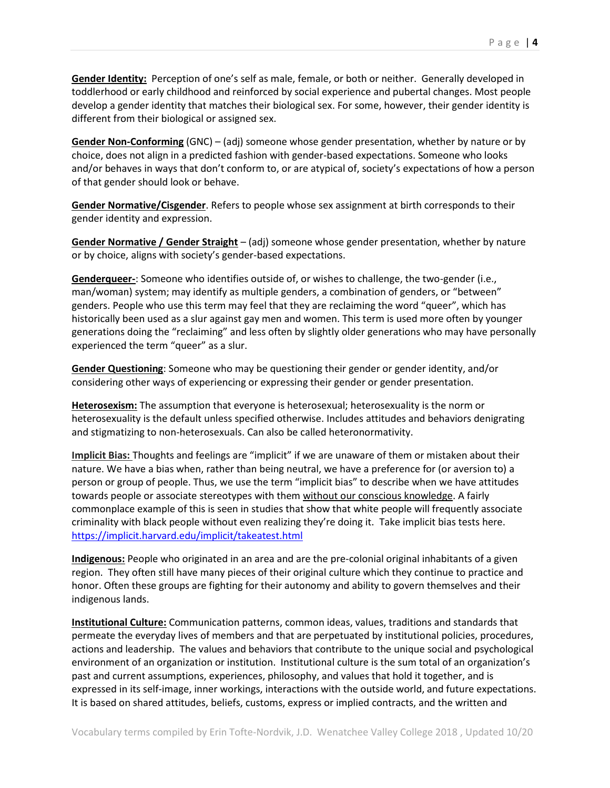**Gender Identity:** Perception of one's self as male, female, or both or neither. Generally developed in toddlerhood or early childhood and reinforced by social experience and pubertal changes. Most people develop a gender identity that matches their biological sex. For some, however, their gender identity is different from their biological or assigned sex.

**Gender Non-Conforming** (GNC) – (adj) someone whose gender presentation, whether by nature or by choice, does not align in a predicted fashion with gender-based expectations. Someone who looks and/or behaves in ways that don't conform to, or are atypical of, society's expectations of how a person of that gender should look or behave.

**Gender Normative/Cisgender**. Refers to people whose sex assignment at birth corresponds to their gender identity and expression.

**Gender Normative / Gender Straight** – (adj) someone whose gender presentation, whether by nature or by choice, aligns with society's gender-based expectations.

**Genderqueer-**: Someone who identifies outside of, or wishes to challenge, the two-gender (i.e., man/woman) system; may identify as multiple genders, a combination of genders, or "between" genders. People who use this term may feel that they are reclaiming the word "queer", which has historically been used as a slur against gay men and women. This term is used more often by younger generations doing the "reclaiming" and less often by slightly older generations who may have personally experienced the term "queer" as a slur.

**Gender Questioning**: Someone who may be questioning their gender or gender identity, and/or considering other ways of experiencing or expressing their gender or gender presentation.

**Heterosexism:** The assumption that everyone is heterosexual; heterosexuality is the norm or heterosexuality is the default unless specified otherwise. Includes attitudes and behaviors denigrating and stigmatizing to non-heterosexuals. Can also be called heteronormativity.

**Implicit Bias:** Thoughts and feelings are "implicit" if we are unaware of them or mistaken about their nature. We have a bias when, rather than being neutral, we have a preference for (or aversion to) a person or group of people. Thus, we use the term "implicit bias" to describe when we have attitudes towards people or associate stereotypes with them without our conscious knowledge. A fairly commonplace example of this is seen in studies that show that white people will frequently associate criminality with black people without even realizing they're doing it. Take implicit bias tests here. <https://implicit.harvard.edu/implicit/takeatest.html>

**Indigenous:** People who originated in an area and are the pre-colonial original inhabitants of a given region. They often still have many pieces of their original culture which they continue to practice and honor. Often these groups are fighting for their autonomy and ability to govern themselves and their indigenous lands.

**Institutional Culture:** Communication patterns, common ideas, values, traditions and standards that permeate the everyday lives of members and that are perpetuated by institutional policies, procedures, actions and leadership. The values and behaviors that contribute to the unique social and psychological environment of an organization or institution. Institutional culture is the sum total of an organization's past and current assumptions, experiences, philosophy, and values that hold it together, and is expressed in its self-image, inner workings, interactions with the outside world, and future expectations. It is based on shared attitudes, beliefs, customs, express or implied contracts, and the written and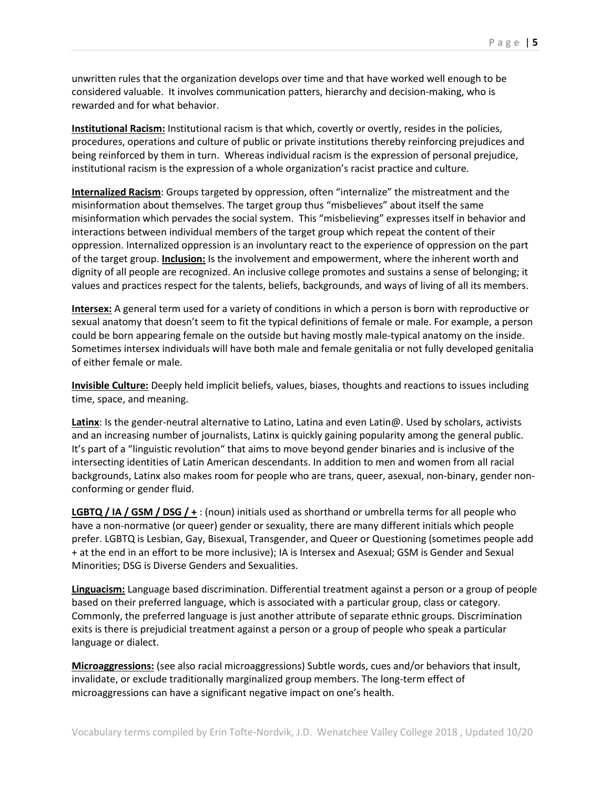unwritten rules that the organization develops over time and that have worked well enough to be considered valuable. It involves communication patters, hierarchy and decision-making, who is rewarded and for what behavior.

**Institutional Racism:** Institutional racism is that which, covertly or overtly, resides in the policies, procedures, operations and culture of public or private institutions thereby reinforcing prejudices and being reinforced by them in turn. Whereas individual racism is the expression of personal prejudice, institutional racism is the expression of a whole organization's racist practice and culture.

**Internalized Racism**: Groups targeted by oppression, often "internalize" the mistreatment and the misinformation about themselves. The target group thus "misbelieves" about itself the same misinformation which pervades the social system. This "misbelieving" expresses itself in behavior and interactions between individual members of the target group which repeat the content of their oppression. Internalized oppression is an involuntary react to the experience of oppression on the part of the target group. **Inclusion:** Is the involvement and empowerment, where the inherent worth and dignity of all people are recognized. An inclusive college promotes and sustains a sense of belonging; it values and practices respect for the talents, beliefs, backgrounds, and ways of living of all its members.

**Intersex:** A general term used for a variety of conditions in which a person is born with reproductive or sexual anatomy that doesn't seem to fit the typical definitions of female or male. For example, a person could be born appearing female on the outside but having mostly male-typical anatomy on the inside. Sometimes intersex individuals will have both male and female genitalia or not fully developed genitalia of either female or male.

**Invisible Culture:** Deeply held implicit beliefs, values, biases, thoughts and reactions to issues including time, space, and meaning.

**Latinx**: Is the gender-neutral alternative to Latino, Latina and even Latin@. Used by scholars, activists and an increasing number of journalists, Latinx is quickly gaining popularity among the general public. It's part of a "linguistic revolution" that aims to move beyond gender binaries and is inclusive of the intersecting identities of Latin American descendants. In addition to men and women from all racial backgrounds, Latinx also makes room for people who are trans, queer, asexual, non-binary, gender nonconforming or gender fluid.

**LGBTQ / IA / GSM / DSG / +** : (noun) initials used as shorthand or umbrella terms for all people who have a non-normative (or queer) gender or sexuality, there are many different initials which people prefer. LGBTQ is Lesbian, Gay, Bisexual, Transgender, and Queer or Questioning (sometimes people add + at the end in an effort to be more inclusive); IA is Intersex and Asexual; GSM is Gender and Sexual Minorities; DSG is Diverse Genders and Sexualities.

**Linguacism:** Language based discrimination. Differential treatment against a person or a group of people based on their preferred language, which is associated with a particular group, class or category. Commonly, the preferred language is just another attribute of separate ethnic groups. Discrimination exits is there is prejudicial treatment against a person or a group of people who speak a particular language or dialect.

**Microaggressions:** (see also racial microaggressions) Subtle words, cues and/or behaviors that insult, invalidate, or exclude traditionally marginalized group members. The long-term effect of microaggressions can have a significant negative impact on one's health.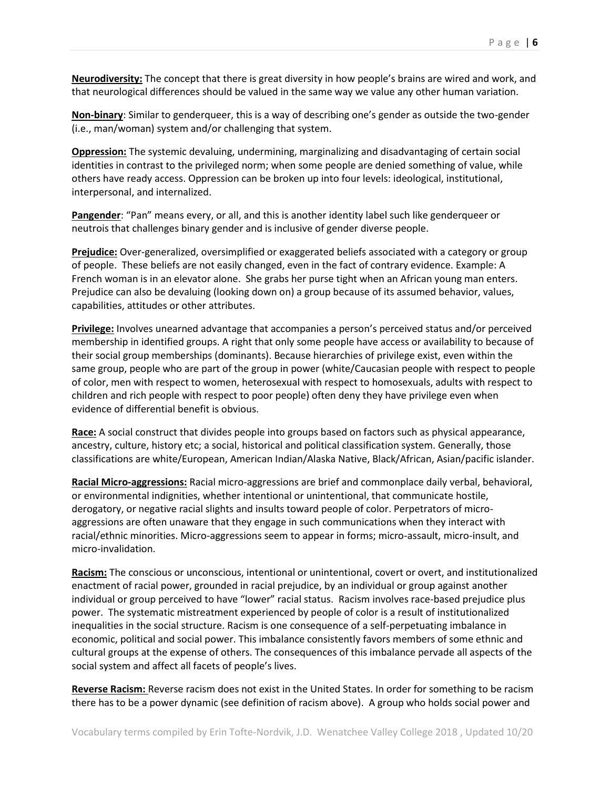**Neurodiversity:** The concept that there is great diversity in how people's brains are wired and work, and that neurological differences should be valued in the same way we value any other human variation.

**Non-binary**: Similar to genderqueer, this is a way of describing one's gender as outside the two-gender (i.e., man/woman) system and/or challenging that system.

**Oppression:** The systemic devaluing, undermining, marginalizing and disadvantaging of certain social identities in contrast to the privileged norm; when some people are denied something of value, while others have ready access. Oppression can be broken up into four levels: ideological, institutional, interpersonal, and internalized.

**Pangender**: "Pan" means every, or all, and this is another identity label such like genderqueer or neutrois that challenges binary gender and is inclusive of gender diverse people.

**Prejudice:** Over-generalized, oversimplified or exaggerated beliefs associated with a category or group of people. These beliefs are not easily changed, even in the fact of contrary evidence. Example: A French woman is in an elevator alone. She grabs her purse tight when an African young man enters. Prejudice can also be devaluing (looking down on) a group because of its assumed behavior, values, capabilities, attitudes or other attributes.

**Privilege:** Involves unearned advantage that accompanies a person's perceived status and/or perceived membership in identified groups. A right that only some people have access or availability to because of their social group memberships (dominants). Because hierarchies of privilege exist, even within the same group, people who are part of the group in power (white/Caucasian people with respect to people of color, men with respect to women, heterosexual with respect to homosexuals, adults with respect to children and rich people with respect to poor people) often deny they have privilege even when evidence of differential benefit is obvious.

**Race:** A social construct that divides people into groups based on factors such as physical appearance, ancestry, culture, history etc; a social, historical and political classification system. Generally, those classifications are white/European, American Indian/Alaska Native, Black/African, Asian/pacific islander.

**Racial Micro-aggressions:** Racial micro-aggressions are brief and commonplace daily verbal, behavioral, or environmental indignities, whether intentional or unintentional, that communicate hostile, derogatory, or negative racial slights and insults toward people of color. Perpetrators of microaggressions are often unaware that they engage in such communications when they interact with racial/ethnic minorities. Micro-aggressions seem to appear in forms; micro-assault, micro-insult, and micro-invalidation.

**Racism:** The conscious or unconscious, intentional or unintentional, covert or overt, and institutionalized enactment of racial power, grounded in racial prejudice, by an individual or group against another individual or group perceived to have "lower" racial status. Racism involves race-based prejudice plus power. The systematic mistreatment experienced by people of color is a result of institutionalized inequalities in the social structure. Racism is one consequence of a self-perpetuating imbalance in economic, political and social power. This imbalance consistently favors members of some ethnic and cultural groups at the expense of others. The consequences of this imbalance pervade all aspects of the social system and affect all facets of people's lives.

**Reverse Racism:** Reverse racism does not exist in the United States. In order for something to be racism there has to be a power dynamic (see definition of racism above). A group who holds social power and